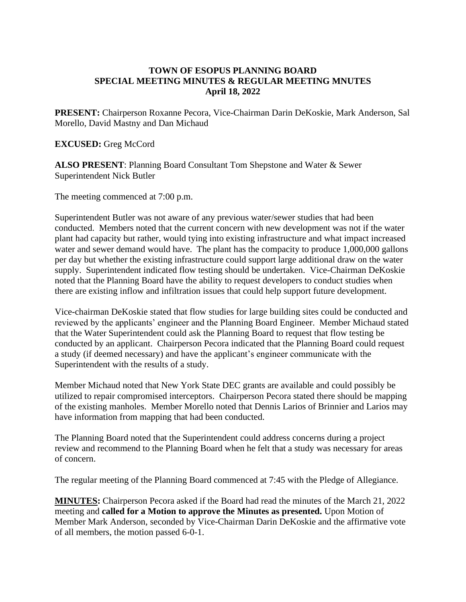## **TOWN OF ESOPUS PLANNING BOARD SPECIAL MEETING MINUTES & REGULAR MEETING MNUTES April 18, 2022**

**PRESENT:** Chairperson Roxanne Pecora, Vice-Chairman Darin DeKoskie, Mark Anderson, Sal Morello, David Mastny and Dan Michaud

### **EXCUSED:** Greg McCord

**ALSO PRESENT**: Planning Board Consultant Tom Shepstone and Water & Sewer Superintendent Nick Butler

The meeting commenced at 7:00 p.m.

Superintendent Butler was not aware of any previous water/sewer studies that had been conducted. Members noted that the current concern with new development was not if the water plant had capacity but rather, would tying into existing infrastructure and what impact increased water and sewer demand would have. The plant has the compacity to produce 1,000,000 gallons per day but whether the existing infrastructure could support large additional draw on the water supply. Superintendent indicated flow testing should be undertaken. Vice-Chairman DeKoskie noted that the Planning Board have the ability to request developers to conduct studies when there are existing inflow and infiltration issues that could help support future development.

Vice-chairman DeKoskie stated that flow studies for large building sites could be conducted and reviewed by the applicants' engineer and the Planning Board Engineer. Member Michaud stated that the Water Superintendent could ask the Planning Board to request that flow testing be conducted by an applicant. Chairperson Pecora indicated that the Planning Board could request a study (if deemed necessary) and have the applicant's engineer communicate with the Superintendent with the results of a study.

Member Michaud noted that New York State DEC grants are available and could possibly be utilized to repair compromised interceptors. Chairperson Pecora stated there should be mapping of the existing manholes. Member Morello noted that Dennis Larios of Brinnier and Larios may have information from mapping that had been conducted.

The Planning Board noted that the Superintendent could address concerns during a project review and recommend to the Planning Board when he felt that a study was necessary for areas of concern.

The regular meeting of the Planning Board commenced at 7:45 with the Pledge of Allegiance.

**MINUTES:** Chairperson Pecora asked if the Board had read the minutes of the March 21, 2022 meeting and **called for a Motion to approve the Minutes as presented.** Upon Motion of Member Mark Anderson, seconded by Vice-Chairman Darin DeKoskie and the affirmative vote of all members, the motion passed 6-0-1.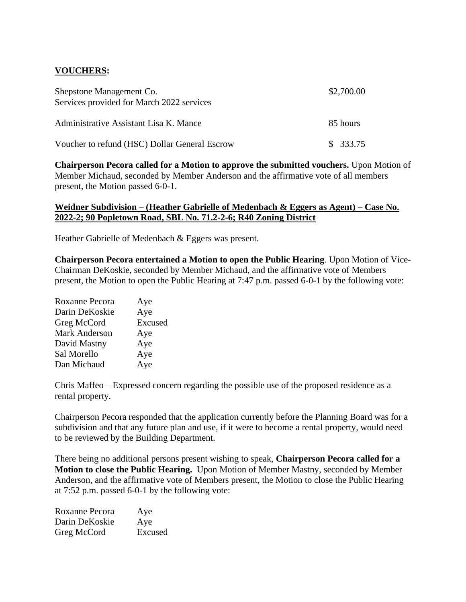# **VOUCHERS:**

| Shepstone Management Co.<br>Services provided for March 2022 services | \$2,700.00 |
|-----------------------------------------------------------------------|------------|
| Administrative Assistant Lisa K. Mance                                | 85 hours   |
| Voucher to refund (HSC) Dollar General Escrow                         | \$333.75   |

**Chairperson Pecora called for a Motion to approve the submitted vouchers.** Upon Motion of Member Michaud, seconded by Member Anderson and the affirmative vote of all members present, the Motion passed 6-0-1.

### **Weidner Subdivision – (Heather Gabrielle of Medenbach & Eggers as Agent) – Case No. 2022-2; 90 Popletown Road, SBL No. 71.2-2-6; R40 Zoning District**

Heather Gabrielle of Medenbach & Eggers was present.

**Chairperson Pecora entertained a Motion to open the Public Hearing**. Upon Motion of Vice-Chairman DeKoskie, seconded by Member Michaud, and the affirmative vote of Members present, the Motion to open the Public Hearing at 7:47 p.m. passed 6-0-1 by the following vote:

| Roxanne Pecora | Aye     |
|----------------|---------|
| Darin DeKoskie | Aye     |
| Greg McCord    | Excused |
| Mark Anderson  | Aye     |
| David Mastny   | Aye     |
| Sal Morello    | Aye     |
| Dan Michaud    | Aye     |
|                |         |

Chris Maffeo – Expressed concern regarding the possible use of the proposed residence as a rental property.

Chairperson Pecora responded that the application currently before the Planning Board was for a subdivision and that any future plan and use, if it were to become a rental property, would need to be reviewed by the Building Department.

There being no additional persons present wishing to speak, **Chairperson Pecora called for a Motion to close the Public Hearing.** Upon Motion of Member Mastny, seconded by Member Anderson, and the affirmative vote of Members present, the Motion to close the Public Hearing at 7:52 p.m. passed 6-0-1 by the following vote:

| Roxanne Pecora | Aye     |
|----------------|---------|
| Darin DeKoskie | Aye     |
| Greg McCord    | Excused |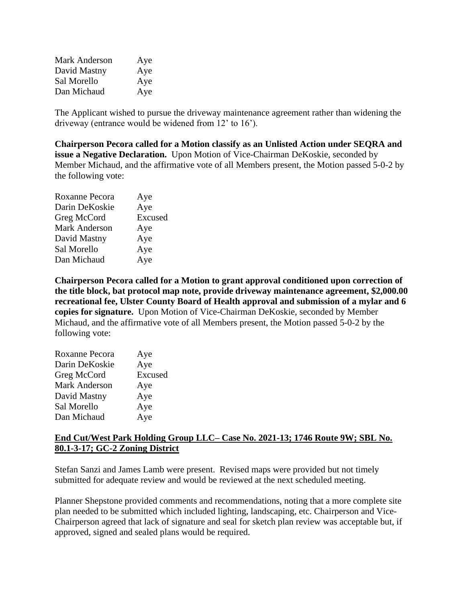| <b>Mark Anderson</b> | Aye |
|----------------------|-----|
| David Mastny         | Aye |
| Sal Morello          | Aye |
| Dan Michaud          | Aye |

The Applicant wished to pursue the driveway maintenance agreement rather than widening the driveway (entrance would be widened from 12' to 16').

**Chairperson Pecora called for a Motion classify as an Unlisted Action under SEQRA and issue a Negative Declaration.** Upon Motion of Vice-Chairman DeKoskie, seconded by Member Michaud, and the affirmative vote of all Members present, the Motion passed 5-0-2 by the following vote:

| Roxanne Pecora       | Aye     |
|----------------------|---------|
| Darin DeKoskie       | Aye     |
| Greg McCord          | Excused |
| <b>Mark Anderson</b> | Aye     |
| David Mastny         | Aye     |
| Sal Morello          | Aye     |
| Dan Michaud          | Aye     |
|                      |         |

**Chairperson Pecora called for a Motion to grant approval conditioned upon correction of the title block, bat protocol map note, provide driveway maintenance agreement, \$2,000.00 recreational fee, Ulster County Board of Health approval and submission of a mylar and 6 copies for signature.** Upon Motion of Vice-Chairman DeKoskie, seconded by Member Michaud, and the affirmative vote of all Members present, the Motion passed 5-0-2 by the following vote:

| Aye     |
|---------|
| Aye     |
| Excused |
| Aye     |
| Aye     |
| Aye     |
| Aye     |
|         |

### **End Cut/West Park Holding Group LLC– Case No. 2021-13; 1746 Route 9W; SBL No. 80.1-3-17; GC-2 Zoning District**

Stefan Sanzi and James Lamb were present. Revised maps were provided but not timely submitted for adequate review and would be reviewed at the next scheduled meeting.

Planner Shepstone provided comments and recommendations, noting that a more complete site plan needed to be submitted which included lighting, landscaping, etc. Chairperson and Vice-Chairperson agreed that lack of signature and seal for sketch plan review was acceptable but, if approved, signed and sealed plans would be required.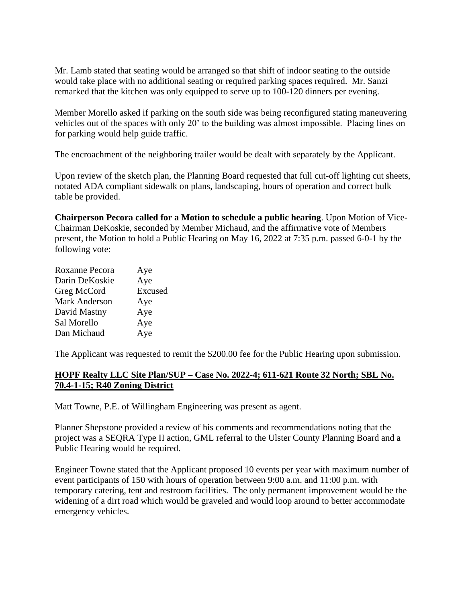Mr. Lamb stated that seating would be arranged so that shift of indoor seating to the outside would take place with no additional seating or required parking spaces required. Mr. Sanzi remarked that the kitchen was only equipped to serve up to 100-120 dinners per evening.

Member Morello asked if parking on the south side was being reconfigured stating maneuvering vehicles out of the spaces with only 20' to the building was almost impossible. Placing lines on for parking would help guide traffic.

The encroachment of the neighboring trailer would be dealt with separately by the Applicant.

Upon review of the sketch plan, the Planning Board requested that full cut-off lighting cut sheets, notated ADA compliant sidewalk on plans, landscaping, hours of operation and correct bulk table be provided.

**Chairperson Pecora called for a Motion to schedule a public hearing**. Upon Motion of Vice-Chairman DeKoskie, seconded by Member Michaud, and the affirmative vote of Members present, the Motion to hold a Public Hearing on May 16, 2022 at 7:35 p.m. passed 6-0-1 by the following vote:

| Roxanne Pecora       | Aye     |
|----------------------|---------|
| Darin DeKoskie       | Aye     |
| Greg McCord          | Excused |
| <b>Mark Anderson</b> | Aye     |
| David Mastny         | Aye     |
| Sal Morello          | Aye     |
| Dan Michaud          | Aye     |

The Applicant was requested to remit the \$200.00 fee for the Public Hearing upon submission.

### **HOPF Realty LLC Site Plan/SUP – Case No. 2022-4; 611-621 Route 32 North; SBL No. 70.4-1-15; R40 Zoning District**

Matt Towne, P.E. of Willingham Engineering was present as agent.

Planner Shepstone provided a review of his comments and recommendations noting that the project was a SEQRA Type II action, GML referral to the Ulster County Planning Board and a Public Hearing would be required.

Engineer Towne stated that the Applicant proposed 10 events per year with maximum number of event participants of 150 with hours of operation between 9:00 a.m. and 11:00 p.m. with temporary catering, tent and restroom facilities. The only permanent improvement would be the widening of a dirt road which would be graveled and would loop around to better accommodate emergency vehicles.